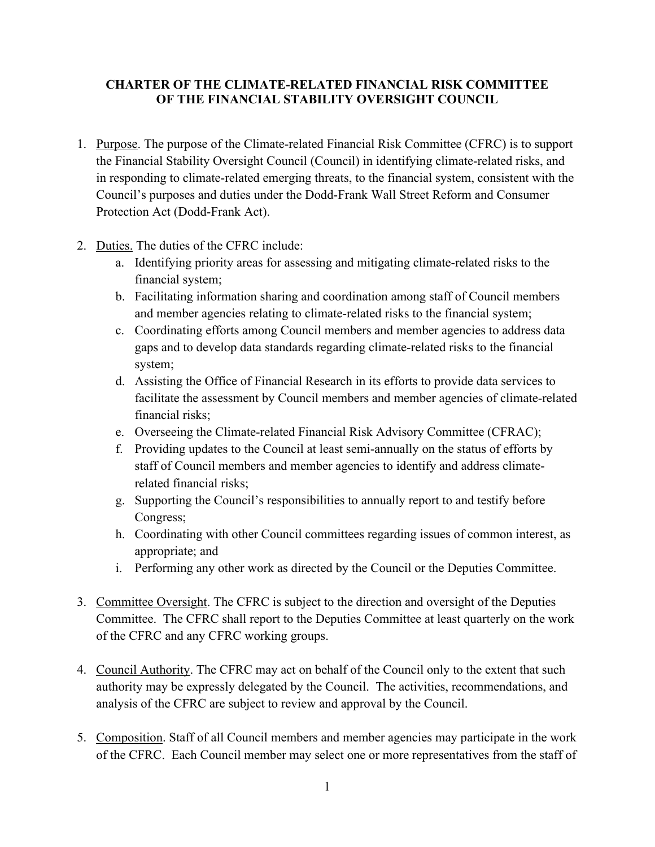# **CHARTER OF THE CLIMATE-RELATED FINANCIAL RISK COMMITTEE OF THE FINANCIAL STABILITY OVERSIGHT COUNCIL**

- 1. Purpose. The purpose of the Climate-related Financial Risk Committee (CFRC) is to support the Financial Stability Oversight Council (Council) in identifying climate-related risks, and in responding to climate-related emerging threats, to the financial system, consistent with the Council's purposes and duties under the Dodd-Frank Wall Street Reform and Consumer Protection Act (Dodd-Frank Act).
- 2. Duties. The duties of the CFRC include:
	- a. Identifying priority areas for assessing and mitigating climate-related risks to the financial system;
	- b. Facilitating information sharing and coordination among staff of Council members and member agencies relating to climate-related risks to the financial system;
	- c. Coordinating efforts among Council members and member agencies to address data gaps and to develop data standards regarding climate-related risks to the financial system;
	- d. Assisting the Office of Financial Research in its efforts to provide data services to facilitate the assessment by Council members and member agencies of climate-related financial risks;
	- e. Overseeing the Climate-related Financial Risk Advisory Committee (CFRAC);
	- f. Providing updates to the Council at least semi-annually on the status of efforts by staff of Council members and member agencies to identify and address climaterelated financial risks;
	- g. Supporting the Council's responsibilities to annually report to and testify before Congress;
	- h. Coordinating with other Council committees regarding issues of common interest, as appropriate; and
	- i. Performing any other work as directed by the Council or the Deputies Committee.
- 3. Committee Oversight. The CFRC is subject to the direction and oversight of the Deputies Committee. The CFRC shall report to the Deputies Committee at least quarterly on the work of the CFRC and any CFRC working groups.
- 4. Council Authority. The CFRC may act on behalf of the Council only to the extent that such authority may be expressly delegated by the Council. The activities, recommendations, and analysis of the CFRC are subject to review and approval by the Council.
- 5. Composition. Staff of all Council members and member agencies may participate in the work of the CFRC. Each Council member may select one or more representatives from the staff of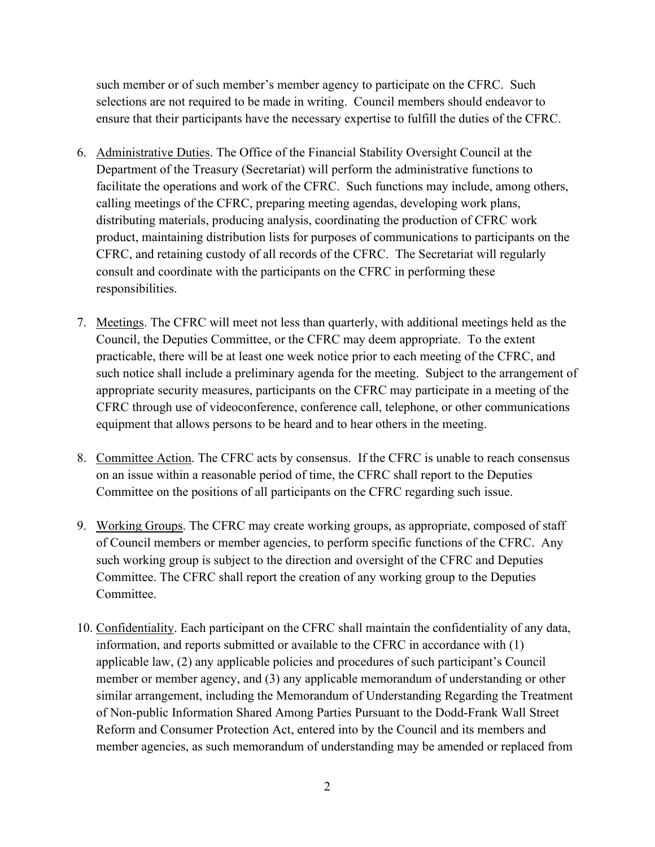such member or of such member's member agency to participate on the CFRC. Such selections are not required to be made in writing. Council members should endeavor to ensure that their participants have the necessary expertise to fulfill the duties of the CFRC.

- 6. Administrative Duties. The Office of the Financial Stability Oversight Council at the Department of the Treasury (Secretariat) will perform the administrative functions to facilitate the operations and work of the CFRC. Such functions may include, among others, calling meetings of the CFRC, preparing meeting agendas, developing work plans, distributing materials, producing analysis, coordinating the production of CFRC work product, maintaining distribution lists for purposes of communications to participants on the CFRC, and retaining custody of all records of the CFRC. The Secretariat will regularly consult and coordinate with the participants on the CFRC in performing these responsibilities.
- 7. Meetings. The CFRC will meet not less than quarterly, with additional meetings held as the Council, the Deputies Committee, or the CFRC may deem appropriate. To the extent practicable, there will be at least one week notice prior to each meeting of the CFRC, and such notice shall include a preliminary agenda for the meeting. Subject to the arrangement of appropriate security measures, participants on the CFRC may participate in a meeting of the CFRC through use of videoconference, conference call, telephone, or other communications equipment that allows persons to be heard and to hear others in the meeting.
- 8. Committee Action. The CFRC acts by consensus. If the CFRC is unable to reach consensus on an issue within a reasonable period of time, the CFRC shall report to the Deputies Committee on the positions of all participants on the CFRC regarding such issue.
- 9. Working Groups. The CFRC may create working groups, as appropriate, composed of staff of Council members or member agencies, to perform specific functions of the CFRC. Any such working group is subject to the direction and oversight of the CFRC and Deputies Committee. The CFRC shall report the creation of any working group to the Deputies Committee.
- 10. Confidentiality. Each participant on the CFRC shall maintain the confidentiality of any data, information, and reports submitted or available to the CFRC in accordance with (1) applicable law, (2) any applicable policies and procedures of such participant's Council member or member agency, and (3) any applicable memorandum of understanding or other similar arrangement, including the Memorandum of Understanding Regarding the Treatment of Non-public Information Shared Among Parties Pursuant to the Dodd-Frank Wall Street Reform and Consumer Protection Act, entered into by the Council and its members and member agencies, as such memorandum of understanding may be amended or replaced from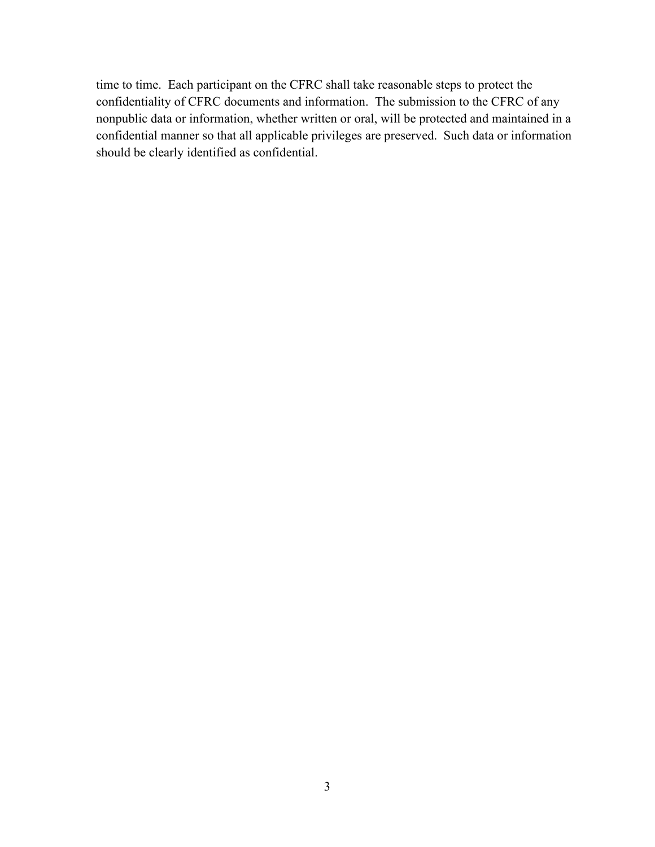time to time. Each participant on the CFRC shall take reasonable steps to protect the confidentiality of CFRC documents and information. The submission to the CFRC of any nonpublic data or information, whether written or oral, will be protected and maintained in a confidential manner so that all applicable privileges are preserved. Such data or information should be clearly identified as confidential.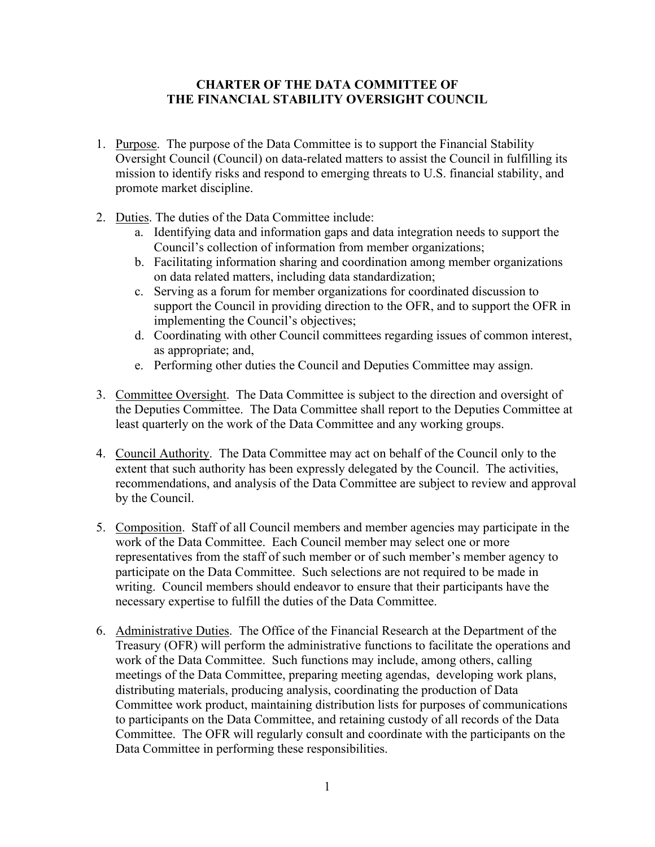### **CHARTER OF THE DATA COMMITTEE OF THE FINANCIAL STABILITY OVERSIGHT COUNCIL**

- 1. Purpose. The purpose of the Data Committee is to support the Financial Stability Oversight Council (Council) on data-related matters to assist the Council in fulfilling its mission to identify risks and respond to emerging threats to U.S. financial stability, and promote market discipline.
- 2. Duties. The duties of the Data Committee include:
	- a. Identifying data and information gaps and data integration needs to support the Council's collection of information from member organizations;
	- b. Facilitating information sharing and coordination among member organizations on data related matters, including data standardization;
	- c. Serving as a forum for member organizations for coordinated discussion to support the Council in providing direction to the OFR, and to support the OFR in implementing the Council's objectives;
	- d. Coordinating with other Council committees regarding issues of common interest, as appropriate; and,
	- e. Performing other duties the Council and Deputies Committee may assign.
- 3. Committee Oversight. The Data Committee is subject to the direction and oversight of the Deputies Committee. The Data Committee shall report to the Deputies Committee at least quarterly on the work of the Data Committee and any working groups.
- 4. Council Authority. The Data Committee may act on behalf of the Council only to the extent that such authority has been expressly delegated by the Council. The activities, recommendations, and analysis of the Data Committee are subject to review and approval by the Council.
- 5. Composition. Staff of all Council members and member agencies may participate in the work of the Data Committee. Each Council member may select one or more representatives from the staff of such member or of such member's member agency to participate on the Data Committee. Such selections are not required to be made in writing. Council members should endeavor to ensure that their participants have the necessary expertise to fulfill the duties of the Data Committee.
- 6. Administrative Duties. The Office of the Financial Research at the Department of the Treasury (OFR) will perform the administrative functions to facilitate the operations and work of the Data Committee. Such functions may include, among others, calling meetings of the Data Committee, preparing meeting agendas, developing work plans, distributing materials, producing analysis, coordinating the production of Data Committee work product, maintaining distribution lists for purposes of communications to participants on the Data Committee, and retaining custody of all records of the Data Committee. The OFR will regularly consult and coordinate with the participants on the Data Committee in performing these responsibilities.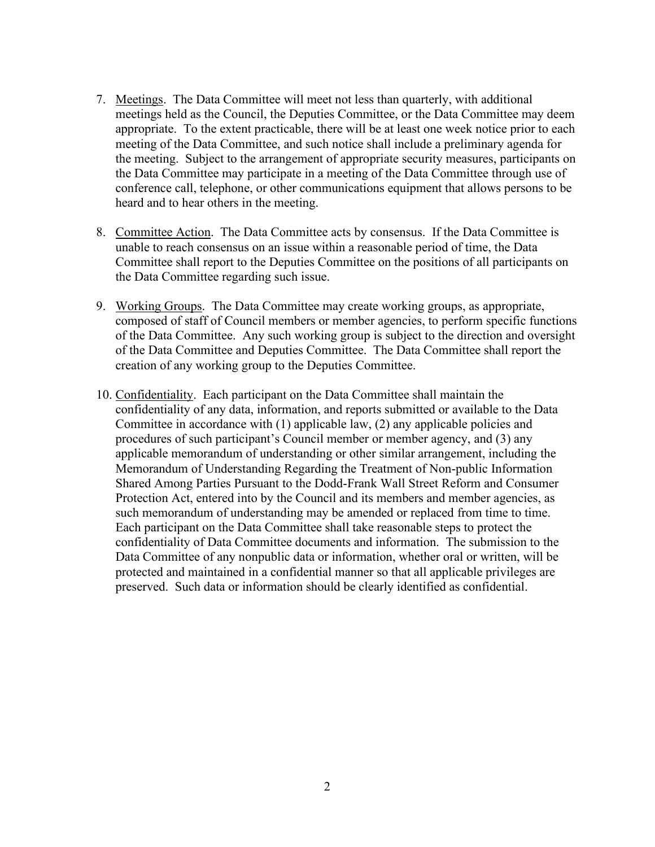- 7. Meetings. The Data Committee will meet not less than quarterly, with additional meetings held as the Council, the Deputies Committee, or the Data Committee may deem appropriate. To the extent practicable, there will be at least one week notice prior to each meeting of the Data Committee, and such notice shall include a preliminary agenda for the meeting. Subject to the arrangement of appropriate security measures, participants on the Data Committee may participate in a meeting of the Data Committee through use of conference call, telephone, or other communications equipment that allows persons to be heard and to hear others in the meeting.
- 8. Committee Action. The Data Committee acts by consensus. If the Data Committee is unable to reach consensus on an issue within a reasonable period of time, the Data Committee shall report to the Deputies Committee on the positions of all participants on the Data Committee regarding such issue.
- 9. Working Groups. The Data Committee may create working groups, as appropriate, composed of staff of Council members or member agencies, to perform specific functions of the Data Committee. Any such working group is subject to the direction and oversight of the Data Committee and Deputies Committee. The Data Committee shall report the creation of any working group to the Deputies Committee.
- 10. Confidentiality. Each participant on the Data Committee shall maintain the confidentiality of any data, information, and reports submitted or available to the Data Committee in accordance with (1) applicable law, (2) any applicable policies and procedures of such participant's Council member or member agency, and (3) any applicable memorandum of understanding or other similar arrangement, including the Memorandum of Understanding Regarding the Treatment of Non-public Information Shared Among Parties Pursuant to the Dodd-Frank Wall Street Reform and Consumer Protection Act, entered into by the Council and its members and member agencies, as such memorandum of understanding may be amended or replaced from time to time. Each participant on the Data Committee shall take reasonable steps to protect the confidentiality of Data Committee documents and information. The submission to the Data Committee of any nonpublic data or information, whether oral or written, will be protected and maintained in a confidential manner so that all applicable privileges are preserved. Such data or information should be clearly identified as confidential.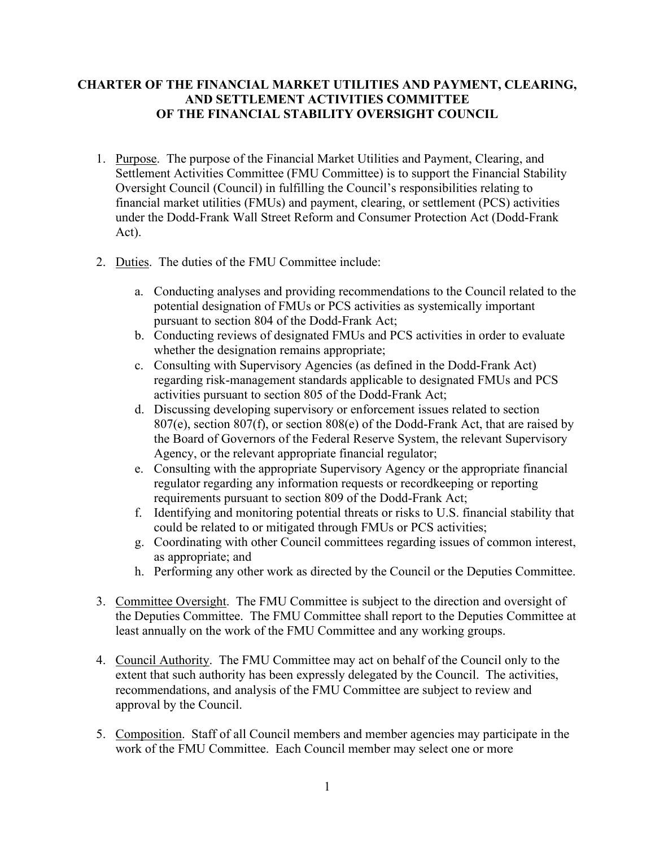# **CHARTER OF THE FINANCIAL MARKET UTILITIES AND PAYMENT, CLEARING, AND SETTLEMENT ACTIVITIES COMMITTEE OF THE FINANCIAL STABILITY OVERSIGHT COUNCIL**

- 1. Purpose. The purpose of the Financial Market Utilities and Payment, Clearing, and Settlement Activities Committee (FMU Committee) is to support the Financial Stability Oversight Council (Council) in fulfilling the Council's responsibilities relating to financial market utilities (FMUs) and payment, clearing, or settlement (PCS) activities under the Dodd-Frank Wall Street Reform and Consumer Protection Act (Dodd-Frank Act).
- 2. Duties. The duties of the FMU Committee include:
	- a. Conducting analyses and providing recommendations to the Council related to the potential designation of FMUs or PCS activities as systemically important pursuant to section 804 of the Dodd-Frank Act;
	- b. Conducting reviews of designated FMUs and PCS activities in order to evaluate whether the designation remains appropriate;
	- c. Consulting with Supervisory Agencies (as defined in the Dodd-Frank Act) regarding risk-management standards applicable to designated FMUs and PCS activities pursuant to section 805 of the Dodd-Frank Act;
	- d. Discussing developing supervisory or enforcement issues related to section 807(e), section 807(f), or section 808(e) of the Dodd-Frank Act, that are raised by the Board of Governors of the Federal Reserve System, the relevant Supervisory Agency, or the relevant appropriate financial regulator;
	- e. Consulting with the appropriate Supervisory Agency or the appropriate financial regulator regarding any information requests or recordkeeping or reporting requirements pursuant to section 809 of the Dodd-Frank Act;
	- f. Identifying and monitoring potential threats or risks to U.S. financial stability that could be related to or mitigated through FMUs or PCS activities;
	- g. Coordinating with other Council committees regarding issues of common interest, as appropriate; and
	- h. Performing any other work as directed by the Council or the Deputies Committee.
- 3. Committee Oversight. The FMU Committee is subject to the direction and oversight of the Deputies Committee. The FMU Committee shall report to the Deputies Committee at least annually on the work of the FMU Committee and any working groups.
- 4. Council Authority. The FMU Committee may act on behalf of the Council only to the extent that such authority has been expressly delegated by the Council. The activities, recommendations, and analysis of the FMU Committee are subject to review and approval by the Council.
- 5. Composition. Staff of all Council members and member agencies may participate in the work of the FMU Committee. Each Council member may select one or more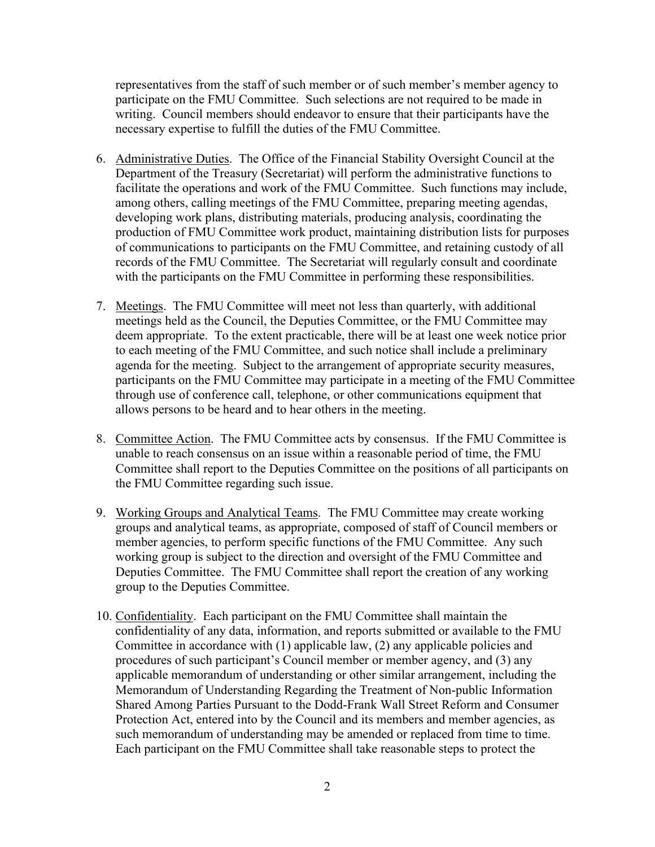representatives from the staff of such member or of such member's member agency to participate on the FMU Committee. Such selections are not required to be made in writing. Council members should endeavor to ensure that their participants have the necessary expertise to fulfill the duties of the FMU Committee.

- 6. Administrative Duties. The Office of the Financial Stability Oversight Council at the Department of the Treasury (Secretariat) will perform the administrative functions to facilitate the operations and work of the FMU Committee. Such functions may include, among others, calling meetings of the FMU Committee, preparing meeting agendas, developing work plans, distributing materials, producing analysis, coordinating the production of FMU Committee work product, maintaining distribution lists for purposes of communications to participants on the FMU Committee, and retaining custody of all records of the FMU Committee. The Secretariat will regularly consult and coordinate with the participants on the FMU Committee in performing these responsibilities.
- 7. Meetings. The FMU Committee will meet not less than quarterly, with additional meetings held as the Council, the Deputies Committee, or the FMU Committee may deem appropriate. To the extent practicable, there will be at least one week notice prior to each meeting of the FMU Committee, and such notice shall include a preliminary agenda for the meeting. Subject to the arrangement of appropriate security measures, participants on the FMU Committee may participate in a meeting of the FMU Committee through use of conference call, telephone, or other communications equipment that allows persons to be heard and to hear others in the meeting.
- 8. Committee Action. The FMU Committee acts by consensus. If the FMU Committee is unable to reach consensus on an issue within a reasonable period of time, the FMU Committee shall report to the Deputies Committee on the positions of all participants on the FMU Committee regarding such issue.
- 9. Working Groups and Analytical Teams. The FMU Committee may create working groups and analytical teams, as appropriate, composed of staff of Council members or member agencies, to perform specific functions of the FMU Committee. Any such working group is subject to the direction and oversight of the FMU Committee and Deputies Committee. The FMU Committee shall report the creation of any working group to the Deputies Committee.
- 10. Confidentiality. Each participant on the FMU Committee shall maintain the confidentiality of any data, information, and reports submitted or available to the FMU Committee in accordance with (1) applicable law, (2) any applicable policies and procedures of such participant's Council member or member agency, and (3) any applicable memorandum of understanding or other similar arrangement, including the Memorandum of Understanding Regarding the Treatment of Non-public Information Shared Among Parties Pursuant to the Dodd-Frank Wall Street Reform and Consumer Protection Act, entered into by the Council and its members and member agencies, as such memorandum of understanding may be amended or replaced from time to time. Each participant on the FMU Committee shall take reasonable steps to protect the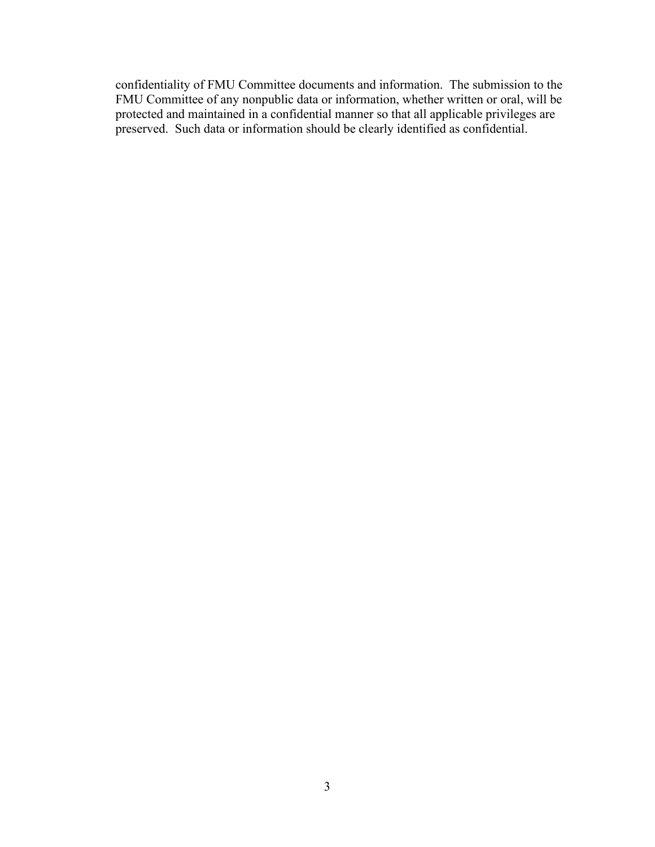confidentiality of FMU Committee documents and information. The submission to the FMU Committee of any nonpublic data or information, whether written or oral, will be protected and maintained in a confidential manner so that all applicable privileges are preserved. Such data or information should be clearly identified as confidential.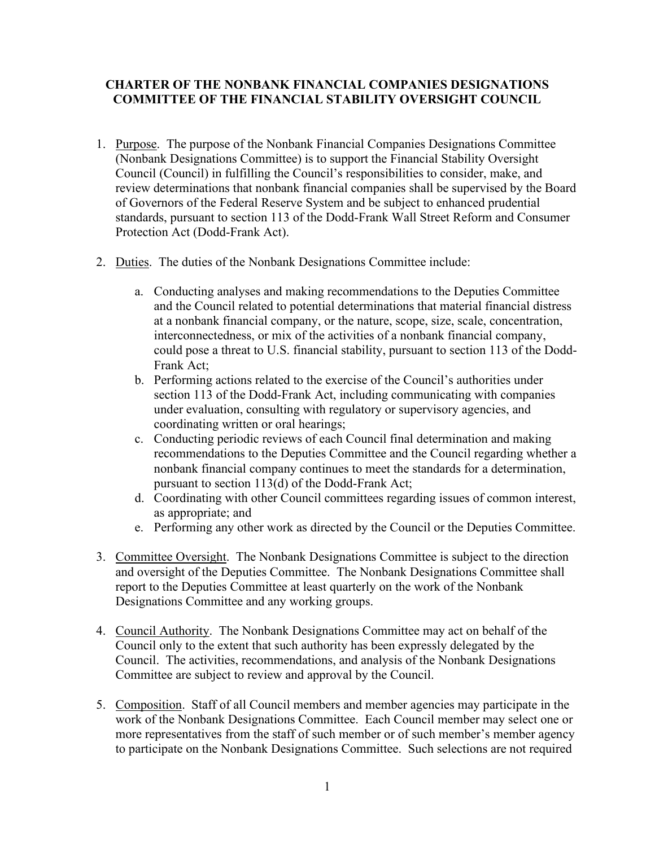# **CHARTER OF THE NONBANK FINANCIAL COMPANIES DESIGNATIONS COMMITTEE OF THE FINANCIAL STABILITY OVERSIGHT COUNCIL**

- 1. Purpose. The purpose of the Nonbank Financial Companies Designations Committee (Nonbank Designations Committee) is to support the Financial Stability Oversight Council (Council) in fulfilling the Council's responsibilities to consider, make, and review determinations that nonbank financial companies shall be supervised by the Board of Governors of the Federal Reserve System and be subject to enhanced prudential standards, pursuant to section 113 of the Dodd-Frank Wall Street Reform and Consumer Protection Act (Dodd-Frank Act).
- 2. Duties. The duties of the Nonbank Designations Committee include:
	- a. Conducting analyses and making recommendations to the Deputies Committee and the Council related to potential determinations that material financial distress at a nonbank financial company, or the nature, scope, size, scale, concentration, interconnectedness, or mix of the activities of a nonbank financial company, could pose a threat to U.S. financial stability, pursuant to section 113 of the Dodd-Frank Act;
	- b. Performing actions related to the exercise of the Council's authorities under section 113 of the Dodd-Frank Act, including communicating with companies under evaluation, consulting with regulatory or supervisory agencies, and coordinating written or oral hearings;
	- c. Conducting periodic reviews of each Council final determination and making recommendations to the Deputies Committee and the Council regarding whether a nonbank financial company continues to meet the standards for a determination, pursuant to section 113(d) of the Dodd-Frank Act;
	- d. Coordinating with other Council committees regarding issues of common interest, as appropriate; and
	- e. Performing any other work as directed by the Council or the Deputies Committee.
- 3. Committee Oversight. The Nonbank Designations Committee is subject to the direction and oversight of the Deputies Committee. The Nonbank Designations Committee shall report to the Deputies Committee at least quarterly on the work of the Nonbank Designations Committee and any working groups.
- 4. Council Authority. The Nonbank Designations Committee may act on behalf of the Council only to the extent that such authority has been expressly delegated by the Council. The activities, recommendations, and analysis of the Nonbank Designations Committee are subject to review and approval by the Council.
- 5. Composition. Staff of all Council members and member agencies may participate in the work of the Nonbank Designations Committee. Each Council member may select one or more representatives from the staff of such member or of such member's member agency to participate on the Nonbank Designations Committee. Such selections are not required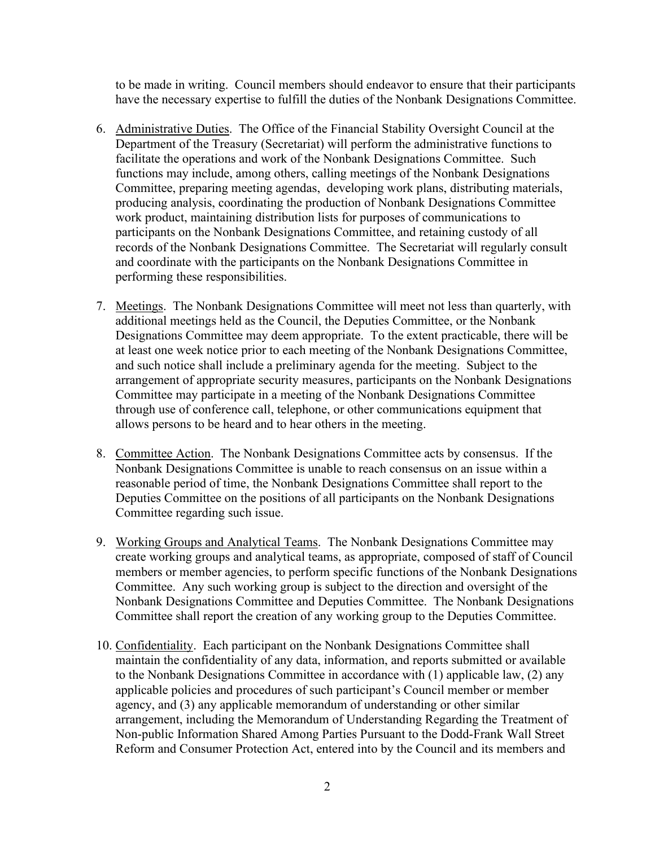to be made in writing. Council members should endeavor to ensure that their participants have the necessary expertise to fulfill the duties of the Nonbank Designations Committee.

- 6. Administrative Duties. The Office of the Financial Stability Oversight Council at the Department of the Treasury (Secretariat) will perform the administrative functions to facilitate the operations and work of the Nonbank Designations Committee. Such functions may include, among others, calling meetings of the Nonbank Designations Committee, preparing meeting agendas, developing work plans, distributing materials, producing analysis, coordinating the production of Nonbank Designations Committee work product, maintaining distribution lists for purposes of communications to participants on the Nonbank Designations Committee, and retaining custody of all records of the Nonbank Designations Committee. The Secretariat will regularly consult and coordinate with the participants on the Nonbank Designations Committee in performing these responsibilities.
- 7. Meetings. The Nonbank Designations Committee will meet not less than quarterly, with additional meetings held as the Council, the Deputies Committee, or the Nonbank Designations Committee may deem appropriate. To the extent practicable, there will be at least one week notice prior to each meeting of the Nonbank Designations Committee, and such notice shall include a preliminary agenda for the meeting. Subject to the arrangement of appropriate security measures, participants on the Nonbank Designations Committee may participate in a meeting of the Nonbank Designations Committee through use of conference call, telephone, or other communications equipment that allows persons to be heard and to hear others in the meeting.
- 8. Committee Action. The Nonbank Designations Committee acts by consensus. If the Nonbank Designations Committee is unable to reach consensus on an issue within a reasonable period of time, the Nonbank Designations Committee shall report to the Deputies Committee on the positions of all participants on the Nonbank Designations Committee regarding such issue.
- 9. Working Groups and Analytical Teams. The Nonbank Designations Committee may create working groups and analytical teams, as appropriate, composed of staff of Council members or member agencies, to perform specific functions of the Nonbank Designations Committee. Any such working group is subject to the direction and oversight of the Nonbank Designations Committee and Deputies Committee. The Nonbank Designations Committee shall report the creation of any working group to the Deputies Committee.
- 10. Confidentiality. Each participant on the Nonbank Designations Committee shall maintain the confidentiality of any data, information, and reports submitted or available to the Nonbank Designations Committee in accordance with (1) applicable law, (2) any applicable policies and procedures of such participant's Council member or member agency, and (3) any applicable memorandum of understanding or other similar arrangement, including the Memorandum of Understanding Regarding the Treatment of Non-public Information Shared Among Parties Pursuant to the Dodd-Frank Wall Street Reform and Consumer Protection Act, entered into by the Council and its members and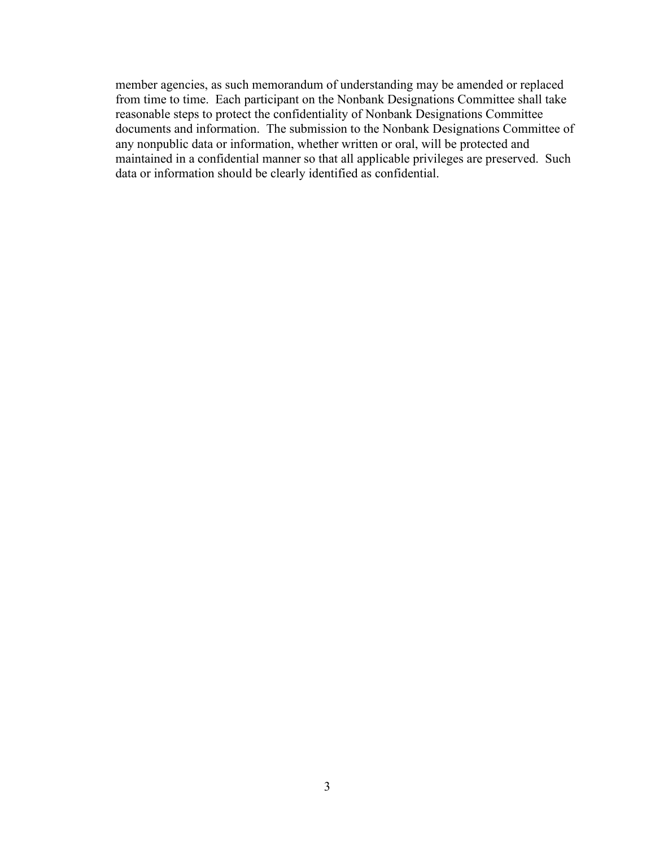member agencies, as such memorandum of understanding may be amended or replaced from time to time. Each participant on the Nonbank Designations Committee shall take reasonable steps to protect the confidentiality of Nonbank Designations Committee documents and information. The submission to the Nonbank Designations Committee of any nonpublic data or information, whether written or oral, will be protected and maintained in a confidential manner so that all applicable privileges are preserved. Such data or information should be clearly identified as confidential.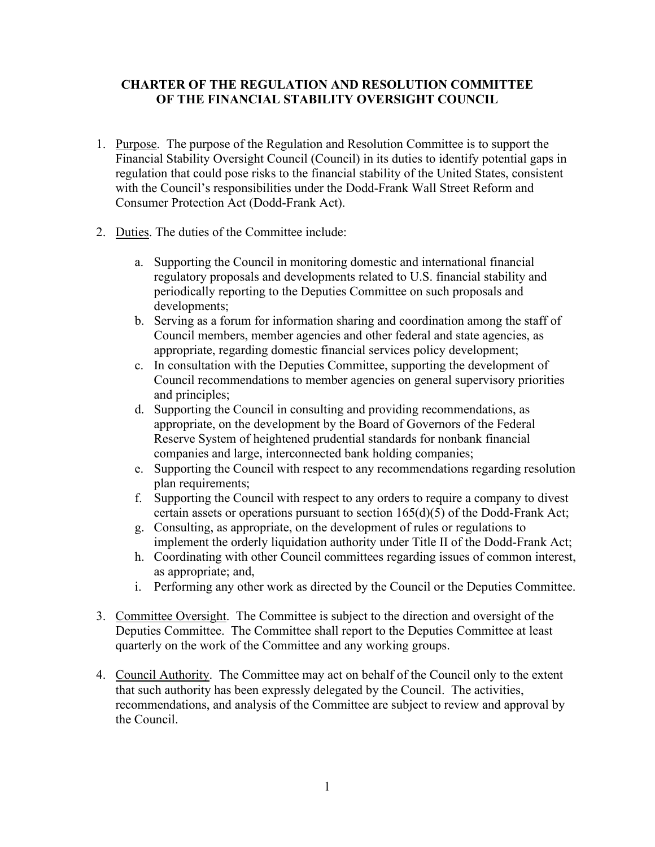### **CHARTER OF THE REGULATION AND RESOLUTION COMMITTEE OF THE FINANCIAL STABILITY OVERSIGHT COUNCIL**

- 1. Purpose. The purpose of the Regulation and Resolution Committee is to support the Financial Stability Oversight Council (Council) in its duties to identify potential gaps in regulation that could pose risks to the financial stability of the United States, consistent with the Council's responsibilities under the Dodd-Frank Wall Street Reform and Consumer Protection Act (Dodd-Frank Act).
- 2. Duties. The duties of the Committee include:
	- a. Supporting the Council in monitoring domestic and international financial regulatory proposals and developments related to U.S. financial stability and periodically reporting to the Deputies Committee on such proposals and developments;
	- b. Serving as a forum for information sharing and coordination among the staff of Council members, member agencies and other federal and state agencies, as appropriate, regarding domestic financial services policy development;
	- c. In consultation with the Deputies Committee, supporting the development of Council recommendations to member agencies on general supervisory priorities and principles;
	- d. Supporting the Council in consulting and providing recommendations, as appropriate, on the development by the Board of Governors of the Federal Reserve System of heightened prudential standards for nonbank financial companies and large, interconnected bank holding companies;
	- e. Supporting the Council with respect to any recommendations regarding resolution plan requirements;
	- f. Supporting the Council with respect to any orders to require a company to divest certain assets or operations pursuant to section 165(d)(5) of the Dodd-Frank Act;
	- g. Consulting, as appropriate, on the development of rules or regulations to implement the orderly liquidation authority under Title II of the Dodd-Frank Act;
	- h. Coordinating with other Council committees regarding issues of common interest, as appropriate; and,
	- i. Performing any other work as directed by the Council or the Deputies Committee.
- 3. Committee Oversight. The Committee is subject to the direction and oversight of the Deputies Committee. The Committee shall report to the Deputies Committee at least quarterly on the work of the Committee and any working groups.
- 4. Council Authority. The Committee may act on behalf of the Council only to the extent that such authority has been expressly delegated by the Council. The activities, recommendations, and analysis of the Committee are subject to review and approval by the Council.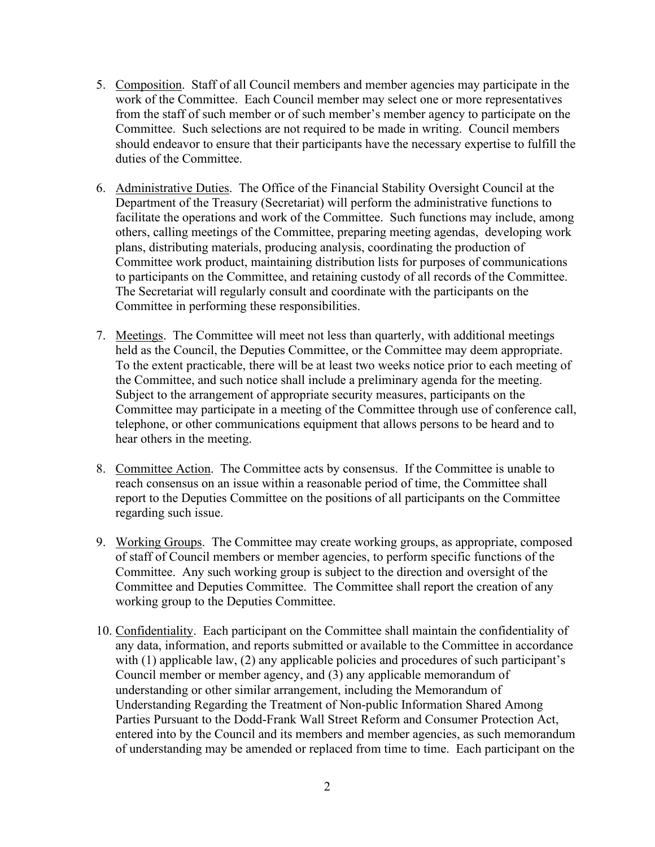- 5. Composition. Staff of all Council members and member agencies may participate in the work of the Committee. Each Council member may select one or more representatives from the staff of such member or of such member's member agency to participate on the Committee. Such selections are not required to be made in writing. Council members should endeavor to ensure that their participants have the necessary expertise to fulfill the duties of the Committee.
- 6. Administrative Duties. The Office of the Financial Stability Oversight Council at the Department of the Treasury (Secretariat) will perform the administrative functions to facilitate the operations and work of the Committee. Such functions may include, among others, calling meetings of the Committee, preparing meeting agendas, developing work plans, distributing materials, producing analysis, coordinating the production of Committee work product, maintaining distribution lists for purposes of communications to participants on the Committee, and retaining custody of all records of the Committee. The Secretariat will regularly consult and coordinate with the participants on the Committee in performing these responsibilities.
- 7. Meetings. The Committee will meet not less than quarterly, with additional meetings held as the Council, the Deputies Committee, or the Committee may deem appropriate. To the extent practicable, there will be at least two weeks notice prior to each meeting of the Committee, and such notice shall include a preliminary agenda for the meeting. Subject to the arrangement of appropriate security measures, participants on the Committee may participate in a meeting of the Committee through use of conference call, telephone, or other communications equipment that allows persons to be heard and to hear others in the meeting.
- 8. Committee Action. The Committee acts by consensus. If the Committee is unable to reach consensus on an issue within a reasonable period of time, the Committee shall report to the Deputies Committee on the positions of all participants on the Committee regarding such issue.
- 9. Working Groups. The Committee may create working groups, as appropriate, composed of staff of Council members or member agencies, to perform specific functions of the Committee. Any such working group is subject to the direction and oversight of the Committee and Deputies Committee. The Committee shall report the creation of any working group to the Deputies Committee.
- 10. Confidentiality. Each participant on the Committee shall maintain the confidentiality of any data, information, and reports submitted or available to the Committee in accordance with (1) applicable law, (2) any applicable policies and procedures of such participant's Council member or member agency, and (3) any applicable memorandum of understanding or other similar arrangement, including the Memorandum of Understanding Regarding the Treatment of Non-public Information Shared Among Parties Pursuant to the Dodd-Frank Wall Street Reform and Consumer Protection Act, entered into by the Council and its members and member agencies, as such memorandum of understanding may be amended or replaced from time to time. Each participant on the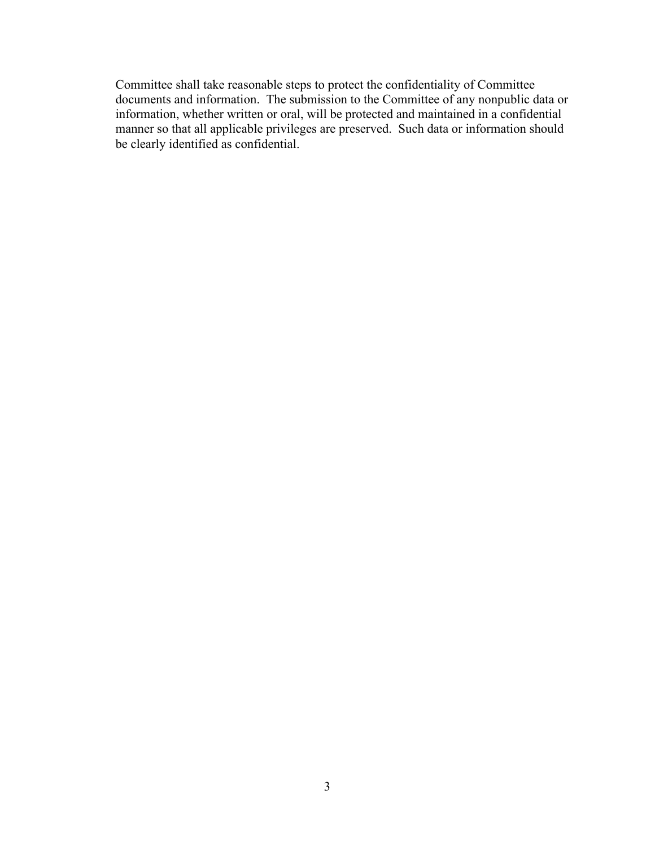Committee shall take reasonable steps to protect the confidentiality of Committee documents and information. The submission to the Committee of any nonpublic data or information, whether written or oral, will be protected and maintained in a confidential manner so that all applicable privileges are preserved. Such data or information should be clearly identified as confidential.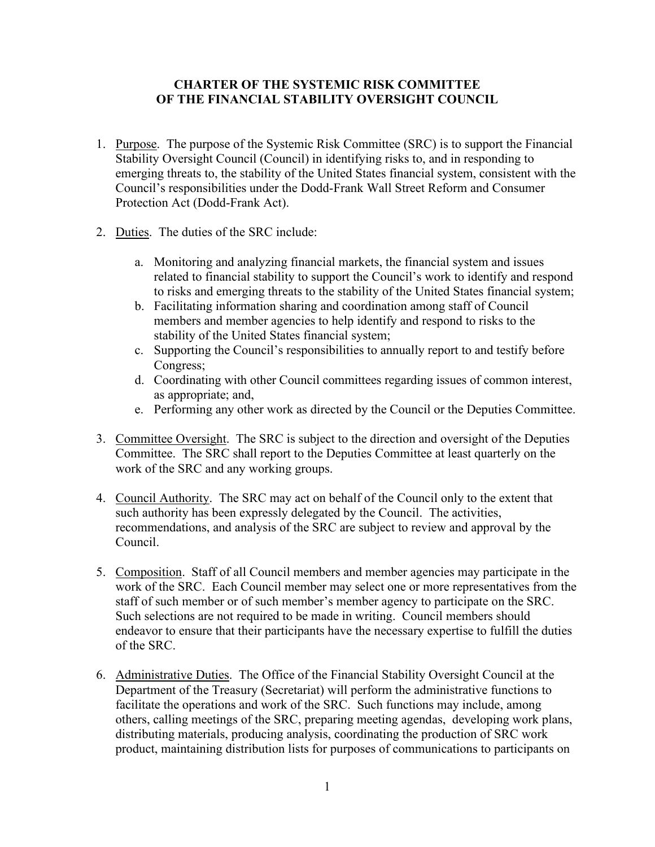### **CHARTER OF THE SYSTEMIC RISK COMMITTEE OF THE FINANCIAL STABILITY OVERSIGHT COUNCIL**

- 1. Purpose. The purpose of the Systemic Risk Committee (SRC) is to support the Financial Stability Oversight Council (Council) in identifying risks to, and in responding to emerging threats to, the stability of the United States financial system, consistent with the Council's responsibilities under the Dodd-Frank Wall Street Reform and Consumer Protection Act (Dodd-Frank Act).
- 2. Duties. The duties of the SRC include:
	- a. Monitoring and analyzing financial markets, the financial system and issues related to financial stability to support the Council's work to identify and respond to risks and emerging threats to the stability of the United States financial system;
	- b. Facilitating information sharing and coordination among staff of Council members and member agencies to help identify and respond to risks to the stability of the United States financial system;
	- c. Supporting the Council's responsibilities to annually report to and testify before Congress;
	- d. Coordinating with other Council committees regarding issues of common interest, as appropriate; and,
	- e. Performing any other work as directed by the Council or the Deputies Committee.
- 3. Committee Oversight. The SRC is subject to the direction and oversight of the Deputies Committee. The SRC shall report to the Deputies Committee at least quarterly on the work of the SRC and any working groups.
- 4. Council Authority. The SRC may act on behalf of the Council only to the extent that such authority has been expressly delegated by the Council. The activities, recommendations, and analysis of the SRC are subject to review and approval by the Council.
- 5. Composition. Staff of all Council members and member agencies may participate in the work of the SRC. Each Council member may select one or more representatives from the staff of such member or of such member's member agency to participate on the SRC. Such selections are not required to be made in writing. Council members should endeavor to ensure that their participants have the necessary expertise to fulfill the duties of the SRC.
- 6. Administrative Duties. The Office of the Financial Stability Oversight Council at the Department of the Treasury (Secretariat) will perform the administrative functions to facilitate the operations and work of the SRC. Such functions may include, among others, calling meetings of the SRC, preparing meeting agendas, developing work plans, distributing materials, producing analysis, coordinating the production of SRC work product, maintaining distribution lists for purposes of communications to participants on